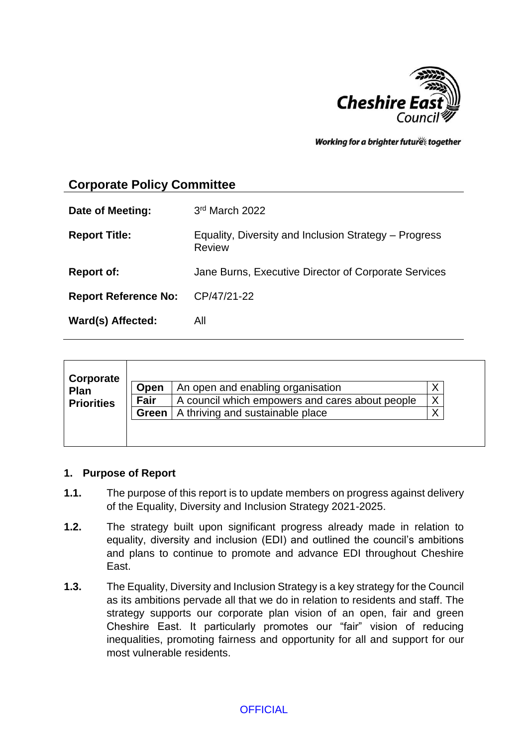

Working for a brighter futures together

# **Corporate Policy Committee**

| Date of Meeting:            | 3rd March 2022                                                         |
|-----------------------------|------------------------------------------------------------------------|
| <b>Report Title:</b>        | Equality, Diversity and Inclusion Strategy – Progress<br><b>Review</b> |
| <b>Report of:</b>           | Jane Burns, Executive Director of Corporate Services                   |
| <b>Report Reference No:</b> | CP/47/21-22                                                            |
| Ward(s) Affected:           | All                                                                    |

|                   | Open  | An open and enabling organisation               |   |
|-------------------|-------|-------------------------------------------------|---|
| Plan              |       |                                                 |   |
| <b>Priorities</b> | Fair  | A council which empowers and cares about people | X |
|                   | Green | A thriving and sustainable place                | v |

## **1. Purpose of Report**

- **1.1.** The purpose of this report is to update members on progress against delivery of the Equality, Diversity and Inclusion Strategy 2021-2025.
- **1.2.** The strategy built upon significant progress already made in relation to equality, diversity and inclusion (EDI) and outlined the council's ambitions and plans to continue to promote and advance EDI throughout Cheshire East.
- **1.3.** The Equality, Diversity and Inclusion Strategy is a key strategy for the Council as its ambitions pervade all that we do in relation to residents and staff. The strategy supports our corporate plan vision of an open, fair and green Cheshire East. It particularly promotes our "fair" vision of reducing inequalities, promoting fairness and opportunity for all and support for our most vulnerable residents.

## **OFFICIAL**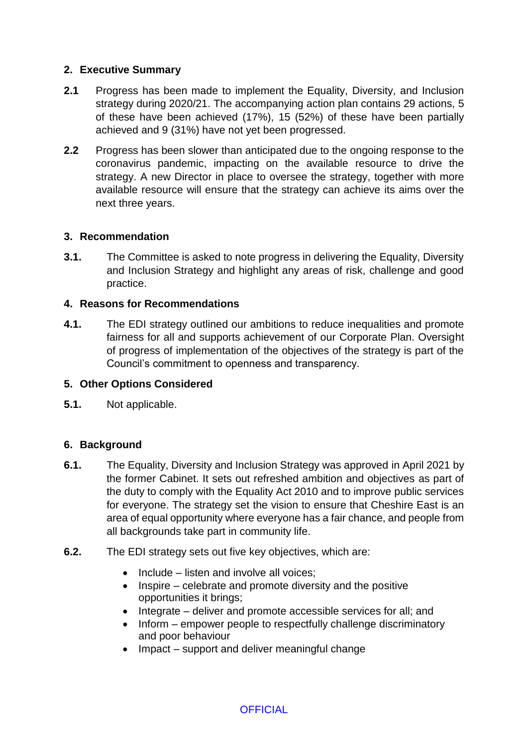# **2. Executive Summary**

- **2.1** Progress has been made to implement the Equality, Diversity, and Inclusion strategy during 2020/21. The accompanying action plan contains 29 actions, 5 of these have been achieved (17%), 15 (52%) of these have been partially achieved and 9 (31%) have not yet been progressed.
- **2.2** Progress has been slower than anticipated due to the ongoing response to the coronavirus pandemic, impacting on the available resource to drive the strategy. A new Director in place to oversee the strategy, together with more available resource will ensure that the strategy can achieve its aims over the next three years.

## **3. Recommendation**

**3.1.** The Committee is asked to note progress in delivering the Equality, Diversity and Inclusion Strategy and highlight any areas of risk, challenge and good practice.

## **4. Reasons for Recommendations**

**4.1.** The EDI strategy outlined our ambitions to reduce inequalities and promote fairness for all and supports achievement of our Corporate Plan. Oversight of progress of implementation of the objectives of the strategy is part of the Council's commitment to openness and transparency.

## **5. Other Options Considered**

**5.1.** Not applicable.

## **6. Background**

- **6.1.** The Equality, Diversity and Inclusion Strategy was approved in April 2021 by the former Cabinet. It sets out refreshed ambition and objectives as part of the duty to comply with the Equality Act 2010 and to improve public services for everyone. The strategy set the vision to ensure that Cheshire East is an area of equal opportunity where everyone has a fair chance, and people from all backgrounds take part in community life.
- **6.2.** The EDI strategy sets out five key objectives, which are:
	- $\bullet$  Include listen and involve all voices;
	- $\bullet$  Inspire celebrate and promote diversity and the positive opportunities it brings;
	- Integrate deliver and promote accessible services for all; and
	- Inform empower people to respectfully challenge discriminatory and poor behaviour
	- Impact support and deliver meaningful change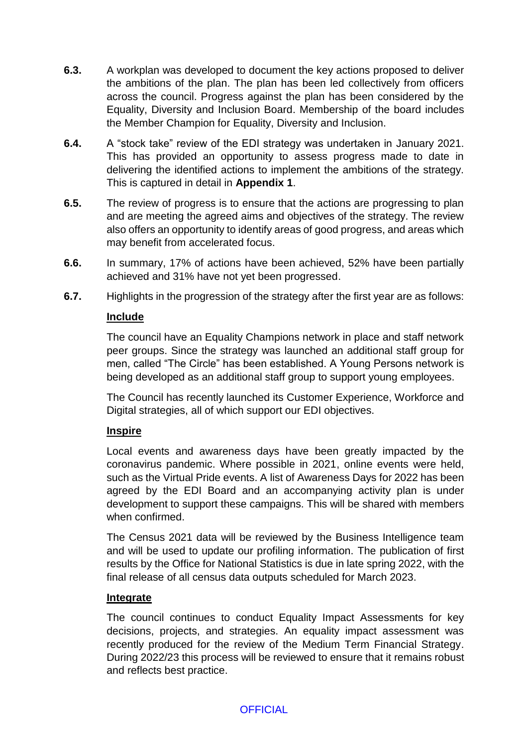- **6.3.** A workplan was developed to document the key actions proposed to deliver the ambitions of the plan. The plan has been led collectively from officers across the council. Progress against the plan has been considered by the Equality, Diversity and Inclusion Board. Membership of the board includes the Member Champion for Equality, Diversity and Inclusion.
- **6.4.** A "stock take" review of the EDI strategy was undertaken in January 2021. This has provided an opportunity to assess progress made to date in delivering the identified actions to implement the ambitions of the strategy. This is captured in detail in **Appendix 1**.
- **6.5.** The review of progress is to ensure that the actions are progressing to plan and are meeting the agreed aims and objectives of the strategy. The review also offers an opportunity to identify areas of good progress, and areas which may benefit from accelerated focus.
- **6.6.** In summary, 17% of actions have been achieved, 52% have been partially achieved and 31% have not yet been progressed.
- **6.7.** Highlights in the progression of the strategy after the first year are as follows:

## **Include**

The council have an Equality Champions network in place and staff network peer groups. Since the strategy was launched an additional staff group for men, called "The Circle" has been established. A Young Persons network is being developed as an additional staff group to support young employees.

The Council has recently launched its Customer Experience, Workforce and Digital strategies, all of which support our EDI objectives.

## **Inspire**

Local events and awareness days have been greatly impacted by the coronavirus pandemic. Where possible in 2021, online events were held, such as the Virtual Pride events. A list of Awareness Days for 2022 has been agreed by the EDI Board and an accompanying activity plan is under development to support these campaigns. This will be shared with members when confirmed.

The Census 2021 data will be reviewed by the Business Intelligence team and will be used to update our profiling information. The publication of first results by the Office for National Statistics is due in late spring 2022, with the final release of all census data outputs scheduled for March 2023.

## **Integrate**

The council continues to conduct Equality Impact Assessments for key decisions, projects, and strategies. An equality impact assessment was recently produced for the review of the Medium Term Financial Strategy. During 2022/23 this process will be reviewed to ensure that it remains robust and reflects best practice.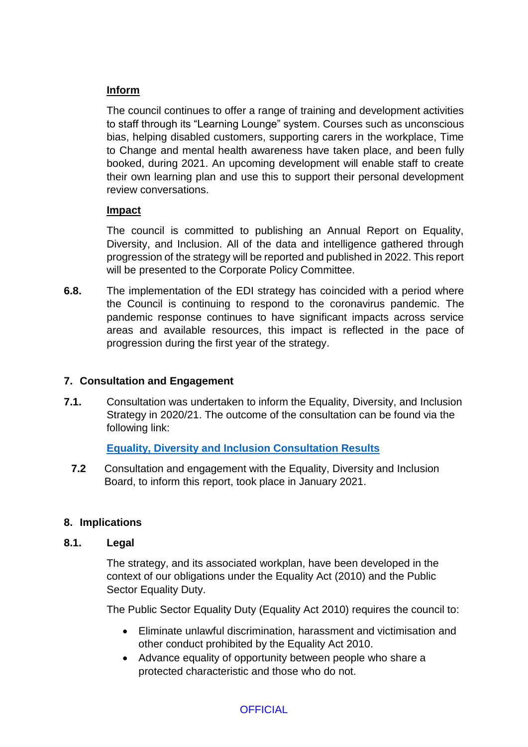# **Inform**

The council continues to offer a range of training and development activities to staff through its "Learning Lounge" system. Courses such as unconscious bias, helping disabled customers, supporting carers in the workplace, Time to Change and mental health awareness have taken place, and been fully booked, during 2021. An upcoming development will enable staff to create their own learning plan and use this to support their personal development review conversations.

## **Impact**

The council is committed to publishing an Annual Report on Equality, Diversity, and Inclusion. All of the data and intelligence gathered through progression of the strategy will be reported and published in 2022. This report will be presented to the Corporate Policy Committee.

**6.8.** The implementation of the EDI strategy has coincided with a period where the Council is continuing to respond to the coronavirus pandemic. The pandemic response continues to have significant impacts across service areas and available resources, this impact is reflected in the pace of progression during the first year of the strategy.

# **7. Consultation and Engagement**

**7.1.** Consultation was undertaken to inform the Equality, Diversity, and Inclusion Strategy in 2020/21. The outcome of the consultation can be found via the following link:

# **[Equality, Diversity and Inclusion Consultation Results](https://www.cheshireeast.gov.uk/pdf/Council-and-democracy/Consultations/Consultation-results/EDIReportFinal-final.pdf)**

**7.2** Consultation and engagement with the Equality, Diversity and Inclusion Board, to inform this report, took place in January 2021.

# **8. Implications**

## **8.1. Legal**

The strategy, and its associated workplan, have been developed in the context of our obligations under the Equality Act (2010) and the Public Sector Equality Duty.

The Public Sector Equality Duty (Equality Act 2010) requires the council to:

- Eliminate unlawful discrimination, harassment and victimisation and other conduct prohibited by the Equality Act 2010.
- Advance equality of opportunity between people who share a protected characteristic and those who do not.

# **OFFICIAL**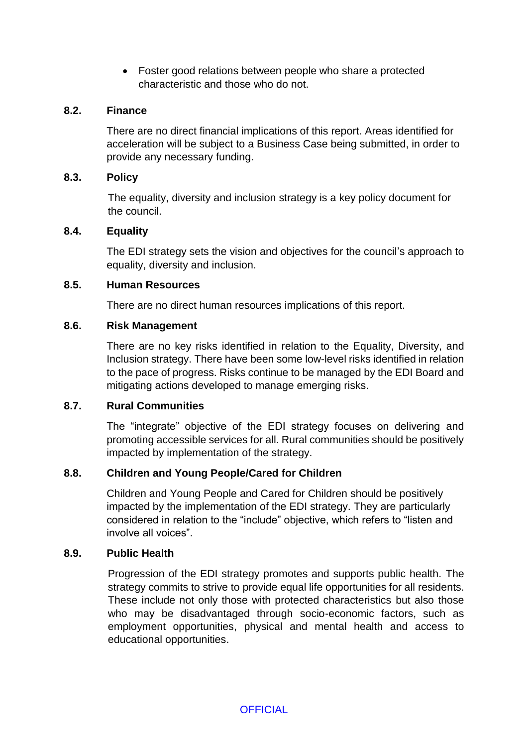Foster good relations between people who share a protected characteristic and those who do not.

## **8.2. Finance**

There are no direct financial implications of this report. Areas identified for acceleration will be subject to a Business Case being submitted, in order to provide any necessary funding.

## **8.3. Policy**

The equality, diversity and inclusion strategy is a key policy document for the council.

## **8.4. Equality**

The EDI strategy sets the vision and objectives for the council's approach to equality, diversity and inclusion.

## **8.5. Human Resources**

There are no direct human resources implications of this report.

## **8.6. Risk Management**

There are no key risks identified in relation to the Equality, Diversity, and Inclusion strategy. There have been some low-level risks identified in relation to the pace of progress. Risks continue to be managed by the EDI Board and mitigating actions developed to manage emerging risks.

## **8.7. Rural Communities**

The "integrate" objective of the EDI strategy focuses on delivering and promoting accessible services for all. Rural communities should be positively impacted by implementation of the strategy.

# **8.8. Children and Young People/Cared for Children**

Children and Young People and Cared for Children should be positively impacted by the implementation of the EDI strategy. They are particularly considered in relation to the "include" objective, which refers to "listen and involve all voices".

## **8.9. Public Health**

Progression of the EDI strategy promotes and supports public health. The strategy commits to strive to provide equal life opportunities for all residents. These include not only those with protected characteristics but also those who may be disadvantaged through socio-economic factors, such as employment opportunities, physical and mental health and access to educational opportunities.